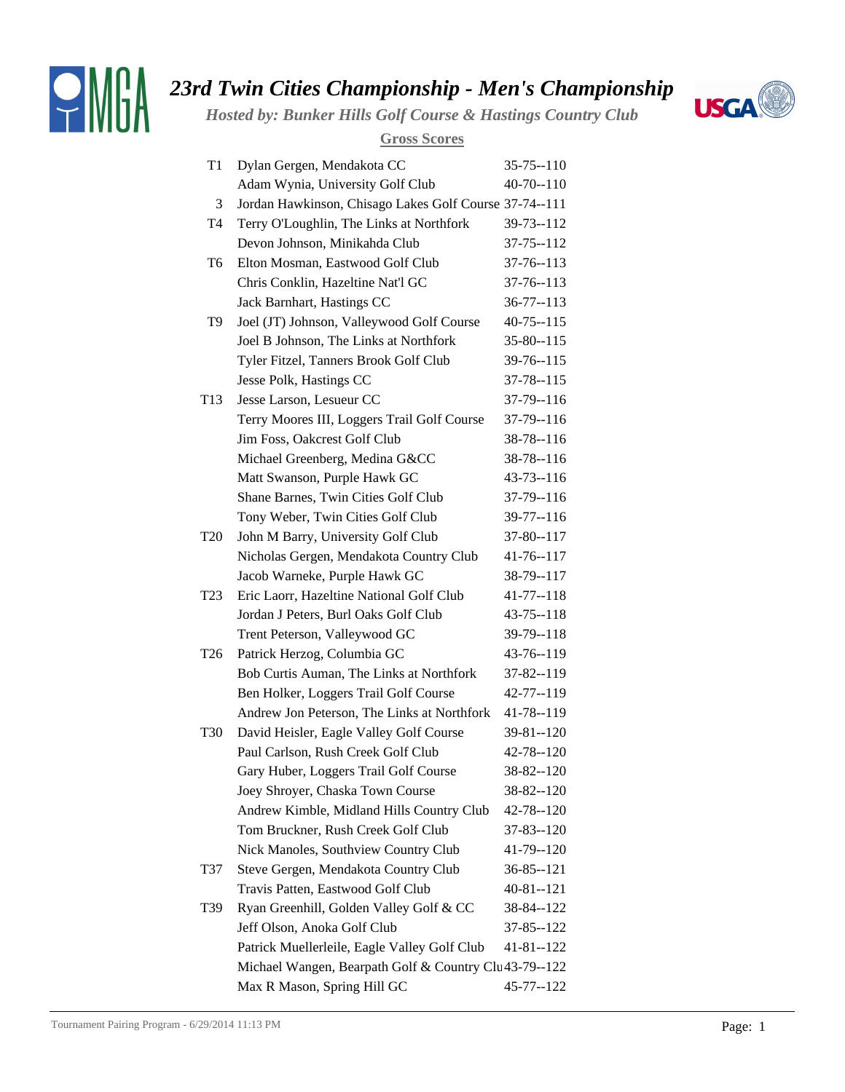

## *23rd Twin Cities Championship - Men's Championship*

*Hosted by: Bunker Hills Golf Course & Hastings Country Club*



## **Gross Scores**

| T1              | Dylan Gergen, Mendakota CC                             | $35 - 75 - 110$ |
|-----------------|--------------------------------------------------------|-----------------|
|                 | Adam Wynia, University Golf Club                       | $40 - 70 - 110$ |
| 3               | Jordan Hawkinson, Chisago Lakes Golf Course 37-74--111 |                 |
| T <sub>4</sub>  | Terry O'Loughlin, The Links at Northfork               | 39-73--112      |
|                 | Devon Johnson, Minikahda Club                          | $37 - 75 - 112$ |
| T6              | Elton Mosman, Eastwood Golf Club                       | 37-76--113      |
|                 | Chris Conklin, Hazeltine Nat'l GC                      | $37 - 76 - 113$ |
|                 | Jack Barnhart, Hastings CC                             | $36 - 77 - 113$ |
| T9              | Joel (JT) Johnson, Valleywood Golf Course              | $40 - 75 - 115$ |
|                 | Joel B Johnson, The Links at Northfork                 | $35 - 80 - 115$ |
|                 | Tyler Fitzel, Tanners Brook Golf Club                  | 39-76--115      |
|                 | Jesse Polk, Hastings CC                                | 37-78--115      |
| T <sub>13</sub> | Jesse Larson, Lesueur CC                               | 37-79--116      |
|                 | Terry Moores III, Loggers Trail Golf Course            | 37-79--116      |
|                 | Jim Foss, Oakcrest Golf Club                           | 38-78--116      |
|                 | Michael Greenberg, Medina G&CC                         | 38-78--116      |
|                 | Matt Swanson, Purple Hawk GC                           | $43 - 73 - 116$ |
|                 | Shane Barnes, Twin Cities Golf Club                    | 37-79--116      |
|                 | Tony Weber, Twin Cities Golf Club                      | 39-77--116      |
| T <sub>20</sub> | John M Barry, University Golf Club                     | 37-80--117      |
|                 | Nicholas Gergen, Mendakota Country Club                | 41-76--117      |
|                 | Jacob Warneke, Purple Hawk GC                          | 38-79--117      |
| T <sub>23</sub> | Eric Laorr, Hazeltine National Golf Club               | 41-77--118      |
|                 | Jordan J Peters, Burl Oaks Golf Club                   | $43 - 75 - 118$ |
|                 | Trent Peterson, Valleywood GC                          | 39-79--118      |
| T <sub>26</sub> | Patrick Herzog, Columbia GC                            | 43-76--119      |
|                 | Bob Curtis Auman, The Links at Northfork               | 37-82--119      |
|                 | Ben Holker, Loggers Trail Golf Course                  | 42-77--119      |
|                 | Andrew Jon Peterson, The Links at Northfork            | 41-78--119      |
| <b>T30</b>      | David Heisler, Eagle Valley Golf Course                | $39 - 81 - 120$ |
|                 | Paul Carlson, Rush Creek Golf Club                     | 42-78--120      |
|                 | Gary Huber, Loggers Trail Golf Course                  | $38 - 82 - 120$ |
|                 | Joey Shroyer, Chaska Town Course                       | 38-82--120      |
|                 | Andrew Kimble, Midland Hills Country Club              | 42-78--120      |
|                 | Tom Bruckner, Rush Creek Golf Club                     | 37-83--120      |
|                 | Nick Manoles, Southview Country Club                   | 41-79--120      |
| T37             | Steve Gergen, Mendakota Country Club                   | $36 - 85 - 121$ |
|                 | Travis Patten, Eastwood Golf Club                      | 40-81--121      |
| T39             | Ryan Greenhill, Golden Valley Golf & CC                | 38-84--122      |
|                 | Jeff Olson, Anoka Golf Club                            | 37-85--122      |
|                 | Patrick Muellerleile, Eagle Valley Golf Club           | 41-81--122      |
|                 | Michael Wangen, Bearpath Golf & Country Clu43-79--122  |                 |
|                 | Max R Mason, Spring Hill GC                            | 45-77--122      |